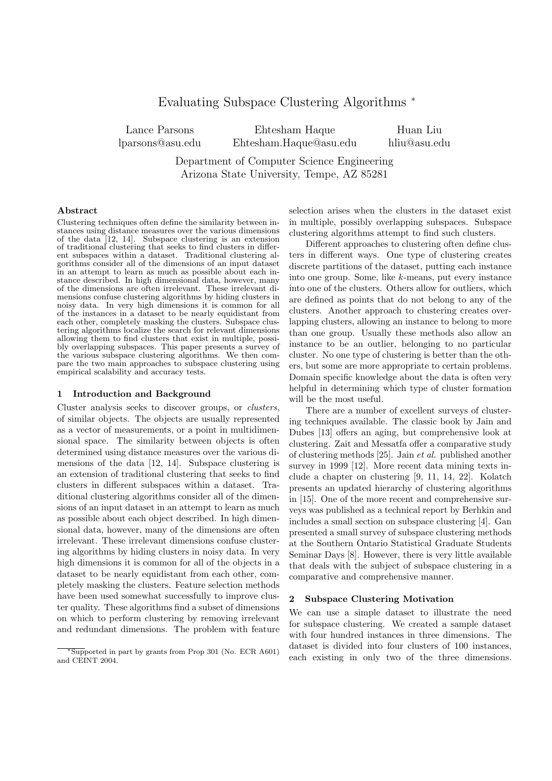# Evaluating Subspace Clustering Algorithms <sup>∗</sup>

Lance Parsons lparsons@asu.edu

Ehtesham Haque Ehtesham.Haque@asu.edu

Huan Liu hliu@asu.edu

Department of Computer Science Engineering Arizona State University, Tempe, AZ 85281

#### Abstract

Clustering techniques often define the similarity between instances using distance measures over the various dimensions of the data [12, 14]. Subspace clustering is an extension of traditional clustering that seeks to find clusters in different subspaces within a dataset. Traditional clustering algorithms consider all of the dimensions of an input dataset in an attempt to learn as much as possible about each instance described. In high dimensional data, however, many of the dimensions are often irrelevant. These irrelevant dimensions confuse clustering algorithms by hiding clusters in noisy data. In very high dimensions it is common for all of the instances in a dataset to be nearly equidistant from each other, completely masking the clusters. Subspace clustering algorithms localize the search for relevant dimensions allowing them to find clusters that exist in multiple, possibly overlapping subspaces. This paper presents a survey of the various subspace clustering algorithms. We then compare the two main approaches to subspace clustering using empirical scalability and accuracy tests.

#### 1 Introduction and Background

Cluster analysis seeks to discover groups, or clusters, of similar objects. The objects are usually represented as a vector of measurements, or a point in multidimensional space. The similarity between objects is often determined using distance measures over the various dimensions of the data [12, 14]. Subspace clustering is an extension of traditional clustering that seeks to find clusters in different subspaces within a dataset. Traditional clustering algorithms consider all of the dimensions of an input dataset in an attempt to learn as much as possible about each object described. In high dimensional data, however, many of the dimensions are often irrelevant. These irrelevant dimensions confuse clustering algorithms by hiding clusters in noisy data. In very high dimensions it is common for all of the objects in a dataset to be nearly equidistant from each other, completely masking the clusters. Feature selection methods have been used somewhat successfully to improve cluster quality. These algorithms find a subset of dimensions on which to perform clustering by removing irrelevant and redundant dimensions. The problem with feature selection arises when the clusters in the dataset exist in multiple, possibly overlapping subspaces. Subspace clustering algorithms attempt to find such clusters.

Different approaches to clustering often define clusters in different ways. One type of clustering creates discrete partitions of the dataset, putting each instance into one group. Some, like k-means, put every instance into one of the clusters. Others allow for outliers, which are defined as points that do not belong to any of the clusters. Another approach to clustering creates overlapping clusters, allowing an instance to belong to more than one group. Usually these methods also allow an instance to be an outlier, belonging to no particular cluster. No one type of clustering is better than the others, but some are more appropriate to certain problems. Domain specific knowledge about the data is often very helpful in determining which type of cluster formation will be the most useful.

There are a number of excellent surveys of clustering techniques available. The classic book by Jain and Dubes [13] offers an aging, but comprehensive look at clustering. Zait and Messatfa offer a comparative study of clustering methods [25]. Jain et al. published another survey in 1999 [12]. More recent data mining texts include a chapter on clustering [9, 11, 14, 22]. Kolatch presents an updated hierarchy of clustering algorithms in [15]. One of the more recent and comprehensive surveys was published as a technical report by Berhkin and includes a small section on subspace clustering [4]. Gan presented a small survey of subspace clustering methods at the Southern Ontario Statistical Graduate Students Seminar Days [8]. However, there is very little available that deals with the subject of subspace clustering in a comparative and comprehensive manner.

#### 2 Subspace Clustering Motivation

We can use a simple dataset to illustrate the need for subspace clustering. We created a sample dataset with four hundred instances in three dimensions. The dataset is divided into four clusters of 100 instances, each existing in only two of the three dimensions.

<sup>∗</sup>Supported in part by grants from Prop 301 (No. ECR A601) and CEINT 2004.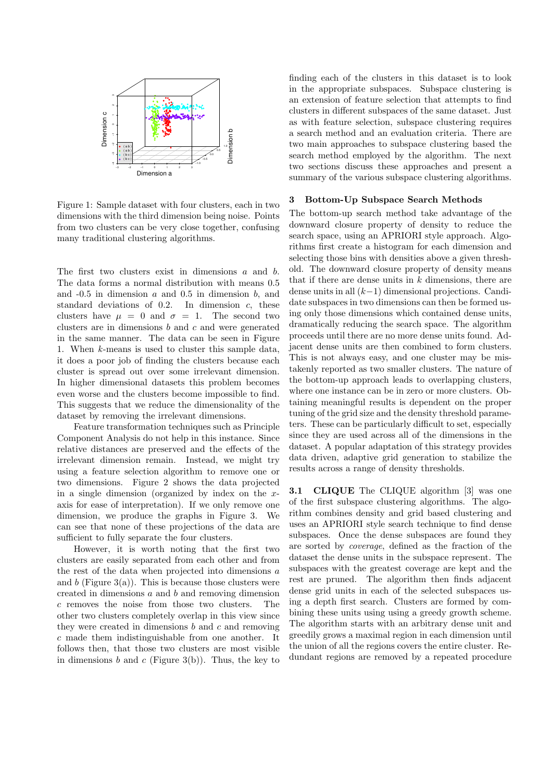

Figure 1: Sample dataset with four clusters, each in two dimensions with the third dimension being noise. Points from two clusters can be very close together, confusing many traditional clustering algorithms.

The first two clusters exist in dimensions a and b. The data forms a normal distribution with means 0.5 and  $-0.5$  in dimension  $a$  and  $0.5$  in dimension  $b$ , and standard deviations of  $0.2$ . In dimension  $c$ , these clusters have  $\mu = 0$  and  $\sigma = 1$ . The second two clusters are in dimensions  $b$  and  $c$  and were generated in the same manner. The data can be seen in Figure 1. When k-means is used to cluster this sample data, it does a poor job of finding the clusters because each cluster is spread out over some irrelevant dimension. In higher dimensional datasets this problem becomes even worse and the clusters become impossible to find. This suggests that we reduce the dimensionality of the dataset by removing the irrelevant dimensions.

Feature transformation techniques such as Principle Component Analysis do not help in this instance. Since relative distances are preserved and the effects of the irrelevant dimension remain. Instead, we might try using a feature selection algorithm to remove one or two dimensions. Figure 2 shows the data projected in a single dimension (organized by index on the  $x$ axis for ease of interpretation). If we only remove one dimension, we produce the graphs in Figure 3. We can see that none of these projections of the data are sufficient to fully separate the four clusters.

However, it is worth noting that the first two clusters are easily separated from each other and from the rest of the data when projected into dimensions a and b (Figure 3(a)). This is because those clusters were created in dimensions  $a$  and  $b$  and removing dimension c removes the noise from those two clusters. The other two clusters completely overlap in this view since they were created in dimensions  $b$  and  $c$  and removing c made them indistinguishable from one another. It follows then, that those two clusters are most visible in dimensions b and c (Figure 3(b)). Thus, the key to finding each of the clusters in this dataset is to look in the appropriate subspaces. Subspace clustering is an extension of feature selection that attempts to find clusters in different subspaces of the same dataset. Just as with feature selection, subspace clustering requires a search method and an evaluation criteria. There are two main approaches to subspace clustering based the search method employed by the algorithm. The next two sections discuss these approaches and present a summary of the various subspace clustering algorithms.

#### 3 Bottom-Up Subspace Search Methods

The bottom-up search method take advantage of the downward closure property of density to reduce the search space, using an APRIORI style approach. Algorithms first create a histogram for each dimension and selecting those bins with densities above a given threshold. The downward closure property of density means that if there are dense units in  $k$  dimensions, there are dense units in all (k−1) dimensional projections. Candidate subspaces in two dimensions can then be formed using only those dimensions which contained dense units, dramatically reducing the search space. The algorithm proceeds until there are no more dense units found. Adjacent dense units are then combined to form clusters. This is not always easy, and one cluster may be mistakenly reported as two smaller clusters. The nature of the bottom-up approach leads to overlapping clusters, where one instance can be in zero or more clusters. Obtaining meaningful results is dependent on the proper tuning of the grid size and the density threshold parameters. These can be particularly difficult to set, especially since they are used across all of the dimensions in the dataset. A popular adaptation of this strategy provides data driven, adaptive grid generation to stabilize the results across a range of density thresholds.

3.1 CLIQUE The CLIQUE algorithm [3] was one of the first subspace clustering algorithms. The algorithm combines density and grid based clustering and uses an APRIORI style search technique to find dense subspaces. Once the dense subspaces are found they are sorted by coverage, defined as the fraction of the dataset the dense units in the subspace represent. The subspaces with the greatest coverage are kept and the rest are pruned. The algorithm then finds adjacent dense grid units in each of the selected subspaces using a depth first search. Clusters are formed by combining these units using using a greedy growth scheme. The algorithm starts with an arbitrary dense unit and greedily grows a maximal region in each dimension until the union of all the regions covers the entire cluster. Redundant regions are removed by a repeated procedure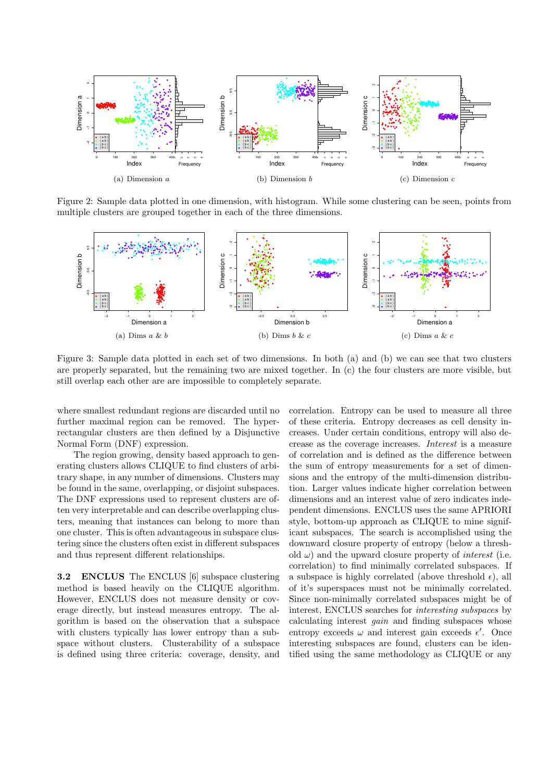

Figure 2: Sample data plotted in one dimension, with histogram. While some clustering can be seen, points from multiple clusters are grouped together in each of the three dimensions.



Figure 3: Sample data plotted in each set of two dimensions. In both (a) and (b) we can see that two clusters are properly separated, but the remaining two are mixed together. In (c) the four clusters are more visible, but still overlap each other are are impossible to completely separate.

where smallest redundant regions are discarded until no further maximal region can be removed. The hyperrectangular clusters are then defined by a Disjunctive Normal Form (DNF) expression.

The region growing, density based approach to generating clusters allows CLIQUE to find clusters of arbitrary shape, in any number of dimensions. Clusters may be found in the same, overlapping, or disjoint subspaces. The DNF expressions used to represent clusters are often very interpretable and can describe overlapping clusters, meaning that instances can belong to more than one cluster. This is often advantageous in subspace clustering since the clusters often exist in different subspaces and thus represent different relationships.

3.2 ENCLUS The ENCLUS [6] subspace clustering method is based heavily on the CLIQUE algorithm. However, ENCLUS does not measure density or coverage directly, but instead measures entropy. The algorithm is based on the observation that a subspace with clusters typically has lower entropy than a subspace without clusters. Clusterability of a subspace is defined using three criteria: coverage, density, and correlation. Entropy can be used to measure all three of these criteria. Entropy decreases as cell density increases. Under certain conditions, entropy will also decrease as the coverage increases. Interest is a measure of correlation and is defined as the difference between the sum of entropy measurements for a set of dimensions and the entropy of the multi-dimension distribution. Larger values indicate higher correlation between dimensions and an interest value of zero indicates independent dimensions. ENCLUS uses the same APRIORI style, bottom-up approach as CLIQUE to mine significant subspaces. The search is accomplished using the downward closure property of entropy (below a threshold  $\omega$ ) and the upward closure property of *interest* (i.e. correlation) to find minimally correlated subspaces. If a subspace is highly correlated (above threshold  $\epsilon$ ), all of it's superspaces must not be minimally correlated. Since non-minimally correlated subspaces might be of interest, ENCLUS searches for interesting subspaces by calculating interest gain and finding subspaces whose entropy exceeds  $\omega$  and interest gain exceeds  $\epsilon'$ . Once interesting subspaces are found, clusters can be identified using the same methodology as CLIQUE or any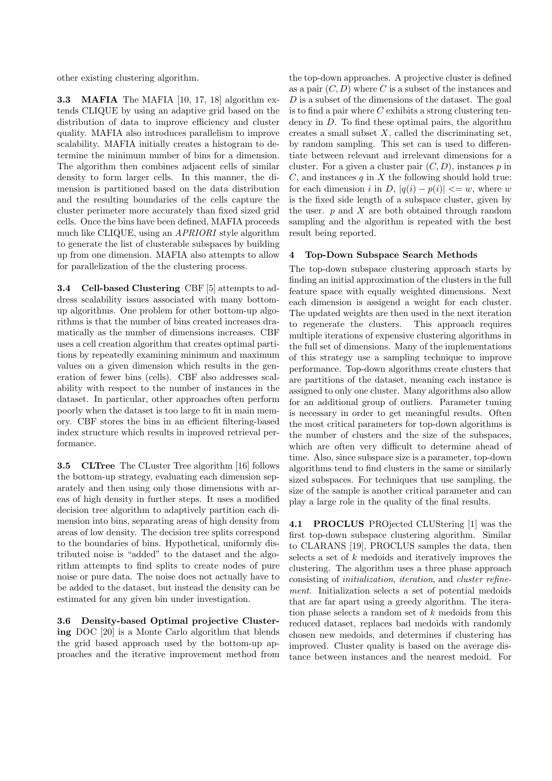other existing clustering algorithm.

3.3 MAFIA The MAFIA [10, 17, 18] algorithm extends CLIQUE by using an adaptive grid based on the distribution of data to improve efficiency and cluster quality. MAFIA also introduces parallelism to improve scalability. MAFIA initially creates a histogram to determine the minimum number of bins for a dimension. The algorithm then combines adjacent cells of similar density to form larger cells. In this manner, the dimension is partitioned based on the data distribution and the resulting boundaries of the cells capture the cluster perimeter more accurately than fixed sized grid cells. Once the bins have been defined, MAFIA proceeds much like CLIQUE, using an APRIORI style algorithm to generate the list of clusterable subspaces by building up from one dimension. MAFIA also attempts to allow for parallelization of the the clustering process.

3.4 Cell-based Clustering CBF [5] attempts to address scalability issues associated with many bottomup algorithms. One problem for other bottom-up algorithms is that the number of bins created increases dramatically as the number of dimensions increases. CBF uses a cell creation algorithm that creates optimal partitions by repeatedly examining minimum and maximum values on a given dimension which results in the generation of fewer bins (cells). CBF also addresses scalability with respect to the number of instances in the dataset. In particular, other approaches often perform poorly when the dataset is too large to fit in main memory. CBF stores the bins in an efficient filtering-based index structure which results in improved retrieval performance.

3.5 CLTree The CLuster Tree algorithm [16] follows the bottom-up strategy, evaluating each dimension separately and then using only those dimensions with areas of high density in further steps. It uses a modified decision tree algorithm to adaptively partition each dimension into bins, separating areas of high density from areas of low density. The decision tree splits correspond to the boundaries of bins. Hypothetical, uniformly distributed noise is "added" to the dataset and the algorithm attempts to find splits to create nodes of pure noise or pure data. The noise does not actually have to be added to the dataset, but instead the density can be estimated for any given bin under investigation.

3.6 Density-based Optimal projective Clustering DOC [20] is a Monte Carlo algorithm that blends the grid based approach used by the bottom-up approaches and the iterative improvement method from the top-down approaches. A projective cluster is defined as a pair  $(C, D)$  where C is a subset of the instances and D is a subset of the dimensions of the dataset. The goal is to find a pair where  $C$  exhibits a strong clustering tendency in  $D$ . To find these optimal pairs, the algorithm creates a small subset  $X$ , called the discriminating set, by random sampling. This set can is used to differentiate between relevant and irrelevant dimensions for a cluster. For a given a cluster pair  $(C, D)$ , instances p in  $C$ , and instances  $q$  in  $X$  the following should hold true: for each dimension i in D,  $|q(i) - p(i)| \leq w$ , where w is the fixed side length of a subspace cluster, given by the user.  $p$  and  $X$  are both obtained through random sampling and the algorithm is repeated with the best result being reported.

#### 4 Top-Down Subspace Search Methods

The top-down subspace clustering approach starts by finding an initial approximation of the clusters in the full feature space with equally weighted dimensions. Next each dimension is assigend a weight for each cluster. The updated weights are then used in the next iteration to regenerate the clusters. This approach requires multiple iterations of expensive clustering algorithms in the full set of dimensions. Many of the implementations of this strategy use a sampling technique to improve performance. Top-down algorithms create clusters that are partitions of the dataset, meaning each instance is assigned to only one cluster. Many algorithms also allow for an additional group of outliers. Parameter tuning is necessary in order to get meaningful results. Often the most critical parameters for top-down algorithms is the number of clusters and the size of the subspaces, which are often very difficult to determine ahead of time. Also, since subspace size is a parameter, top-down algorithms tend to find clusters in the same or similarly sized subspaces. For techniques that use sampling, the size of the sample is another critical parameter and can play a large role in the quality of the final results.

4.1 PROCLUS PROjected CLUStering [1] was the first top-down subspace clustering algorithm. Similar to CLARANS [19], PROCLUS samples the data, then selects a set of k medoids and iteratively improves the clustering. The algorithm uses a three phase approach consisting of initialization, iteration, and cluster refinement. Initialization selects a set of potential medoids that are far apart using a greedy algorithm. The iteration phase selects a random set of  $k$  medoids from this reduced dataset, replaces bad medoids with randomly chosen new medoids, and determines if clustering has improved. Cluster quality is based on the average distance between instances and the nearest medoid. For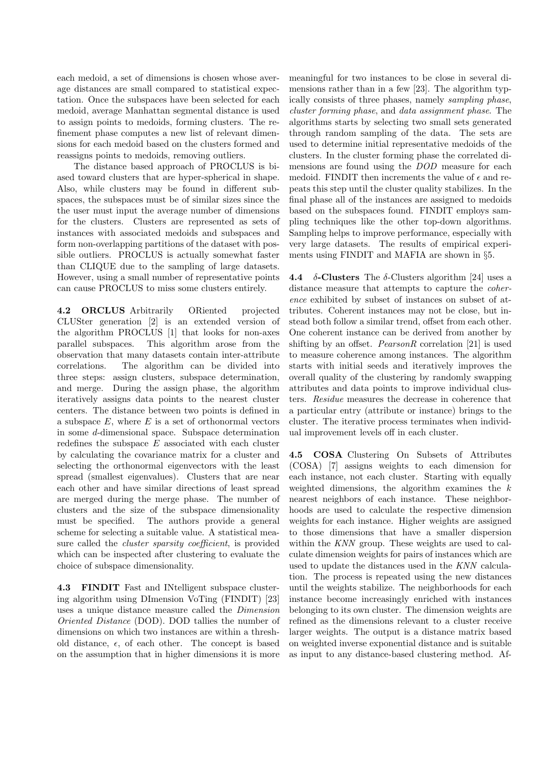each medoid, a set of dimensions is chosen whose average distances are small compared to statistical expectation. Once the subspaces have been selected for each medoid, average Manhattan segmental distance is used to assign points to medoids, forming clusters. The refinement phase computes a new list of relevant dimensions for each medoid based on the clusters formed and reassigns points to medoids, removing outliers.

The distance based approach of PROCLUS is biased toward clusters that are hyper-spherical in shape. Also, while clusters may be found in different subspaces, the subspaces must be of similar sizes since the the user must input the average number of dimensions for the clusters. Clusters are represented as sets of instances with associated medoids and subspaces and form non-overlapping partitions of the dataset with possible outliers. PROCLUS is actually somewhat faster than CLIQUE due to the sampling of large datasets. However, using a small number of representative points can cause PROCLUS to miss some clusters entirely.

4.2 ORCLUS Arbitrarily ORiented projected CLUSter generation [2] is an extended version of the algorithm PROCLUS [1] that looks for non-axes parallel subspaces. This algorithm arose from the observation that many datasets contain inter-attribute correlations. The algorithm can be divided into three steps: assign clusters, subspace determination, and merge. During the assign phase, the algorithm iteratively assigns data points to the nearest cluster centers. The distance between two points is defined in a subspace  $E$ , where  $E$  is a set of orthonormal vectors in some d-dimensional space. Subspace determination redefines the subspace  $E$  associated with each cluster by calculating the covariance matrix for a cluster and selecting the orthonormal eigenvectors with the least spread (smallest eigenvalues). Clusters that are near each other and have similar directions of least spread are merged during the merge phase. The number of clusters and the size of the subspace dimensionality must be specified. The authors provide a general scheme for selecting a suitable value. A statistical measure called the *cluster sparsity coefficient*, is provided which can be inspected after clustering to evaluate the choice of subspace dimensionality.

4.3 FINDIT Fast and INtelligent subspace clustering algorithm using DImension VoTing (FINDIT) [23] uses a unique distance measure called the Dimension Oriented Distance (DOD). DOD tallies the number of dimensions on which two instances are within a threshold distance,  $\epsilon$ , of each other. The concept is based on the assumption that in higher dimensions it is more meaningful for two instances to be close in several dimensions rather than in a few [23]. The algorithm typically consists of three phases, namely sampling phase, cluster forming phase, and data assignment phase. The algorithms starts by selecting two small sets generated through random sampling of the data. The sets are used to determine initial representative medoids of the clusters. In the cluster forming phase the correlated dimensions are found using the DOD measure for each medoid. FINDIT then increments the value of  $\epsilon$  and repeats this step until the cluster quality stabilizes. In the final phase all of the instances are assigned to medoids based on the subspaces found. FINDIT employs sampling techniques like the other top-down algorithms. Sampling helps to improve performance, especially with very large datasets. The results of empirical experiments using FINDIT and MAFIA are shown in §5.

**4.4**  $\delta$ -Clusters The  $\delta$ -Clusters algorithm [24] uses a distance measure that attempts to capture the coherence exhibited by subset of instances on subset of attributes. Coherent instances may not be close, but instead both follow a similar trend, offset from each other. One coherent instance can be derived from another by shifting by an offset. *PearsonR* correlation [21] is used to measure coherence among instances. The algorithm starts with initial seeds and iteratively improves the overall quality of the clustering by randomly swapping attributes and data points to improve individual clusters. Residue measures the decrease in coherence that a particular entry (attribute or instance) brings to the cluster. The iterative process terminates when individual improvement levels off in each cluster.

4.5 COSA Clustering On Subsets of Attributes (COSA) [7] assigns weights to each dimension for each instance, not each cluster. Starting with equally weighted dimensions, the algorithm examines the  $k$ nearest neighbors of each instance. These neighborhoods are used to calculate the respective dimension weights for each instance. Higher weights are assigned to those dimensions that have a smaller dispersion within the KNN group. These weights are used to calculate dimension weights for pairs of instances which are used to update the distances used in the KNN calculation. The process is repeated using the new distances until the weights stabilize. The neighborhoods for each instance become increasingly enriched with instances belonging to its own cluster. The dimension weights are refined as the dimensions relevant to a cluster receive larger weights. The output is a distance matrix based on weighted inverse exponential distance and is suitable as input to any distance-based clustering method. Af-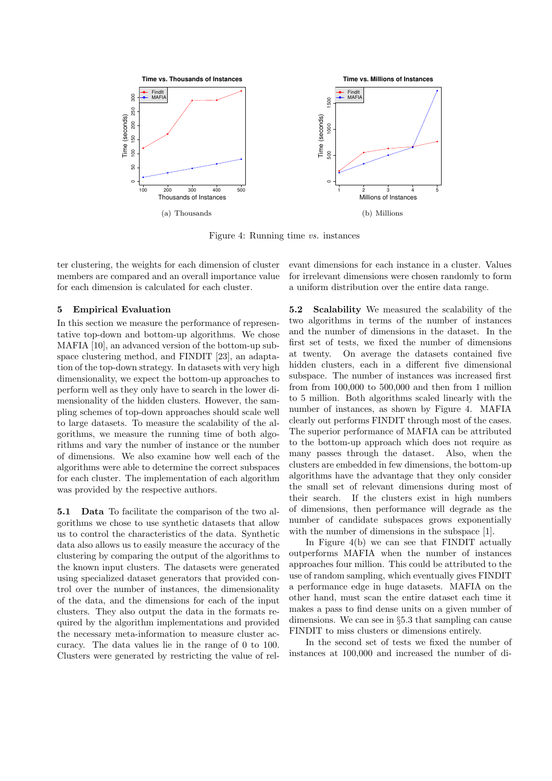

Figure 4: Running time vs. instances

ter clustering, the weights for each dimension of cluster members are compared and an overall importance value for each dimension is calculated for each cluster.

## 5 Empirical Evaluation

In this section we measure the performance of representative top-down and bottom-up algorithms. We chose MAFIA [10], an advanced version of the bottom-up subspace clustering method, and FINDIT [23], an adaptation of the top-down strategy. In datasets with very high dimensionality, we expect the bottom-up approaches to perform well as they only have to search in the lower dimensionality of the hidden clusters. However, the sampling schemes of top-down approaches should scale well to large datasets. To measure the scalability of the algorithms, we measure the running time of both algorithms and vary the number of instance or the number of dimensions. We also examine how well each of the algorithms were able to determine the correct subspaces for each cluster. The implementation of each algorithm was provided by the respective authors.

5.1 Data To facilitate the comparison of the two algorithms we chose to use synthetic datasets that allow us to control the characteristics of the data. Synthetic data also allows us to easily measure the accuracy of the clustering by comparing the output of the algorithms to the known input clusters. The datasets were generated using specialized dataset generators that provided control over the number of instances, the dimensionality of the data, and the dimensions for each of the input clusters. They also output the data in the formats required by the algorithm implementations and provided the necessary meta-information to measure cluster accuracy. The data values lie in the range of 0 to 100. Clusters were generated by restricting the value of relevant dimensions for each instance in a cluster. Values for irrelevant dimensions were chosen randomly to form a uniform distribution over the entire data range.

5.2 Scalability We measured the scalability of the two algorithms in terms of the number of instances and the number of dimensions in the dataset. In the first set of tests, we fixed the number of dimensions at twenty. On average the datasets contained five hidden clusters, each in a different five dimensional subspace. The number of instances was increased first from from 100,000 to 500,000 and then from 1 million to 5 million. Both algorithms scaled linearly with the number of instances, as shown by Figure 4. MAFIA clearly out performs FINDIT through most of the cases. The superior performance of MAFIA can be attributed to the bottom-up approach which does not require as many passes through the dataset. Also, when the clusters are embedded in few dimensions, the bottom-up algorithms have the advantage that they only consider the small set of relevant dimensions during most of their search. If the clusters exist in high numbers of dimensions, then performance will degrade as the number of candidate subspaces grows exponentially with the number of dimensions in the subspace [1].

In Figure 4(b) we can see that FINDIT actually outperforms MAFIA when the number of instances approaches four million. This could be attributed to the use of random sampling, which eventually gives FINDIT a performance edge in huge datasets. MAFIA on the other hand, must scan the entire dataset each time it makes a pass to find dense units on a given number of dimensions. We can see in §5.3 that sampling can cause FINDIT to miss clusters or dimensions entirely.

In the second set of tests we fixed the number of instances at 100,000 and increased the number of di-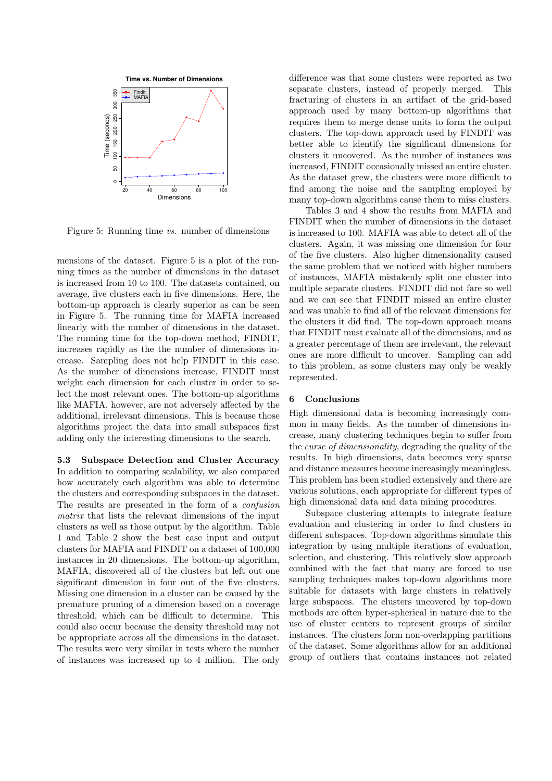

Figure 5: Running time vs. number of dimensions

mensions of the dataset. Figure 5 is a plot of the running times as the number of dimensions in the dataset is increased from 10 to 100. The datasets contained, on average, five clusters each in five dimensions. Here, the bottom-up approach is clearly superior as can be seen in Figure 5. The running time for MAFIA increased linearly with the number of dimensions in the dataset. The running time for the top-down method, FINDIT, increases rapidly as the the number of dimensions increase. Sampling does not help FINDIT in this case. As the number of dimensions increase, FINDIT must weight each dimension for each cluster in order to select the most relevant ones. The bottom-up algorithms like MAFIA, however, are not adversely affected by the additional, irrelevant dimensions. This is because those algorithms project the data into small subspaces first adding only the interesting dimensions to the search.

5.3 Subspace Detection and Cluster Accuracy In addition to comparing scalability, we also compared how accurately each algorithm was able to determine the clusters and corresponding subspaces in the dataset. The results are presented in the form of a confusion matrix that lists the relevant dimensions of the input clusters as well as those output by the algorithm. Table 1 and Table 2 show the best case input and output clusters for MAFIA and FINDIT on a dataset of 100,000 instances in 20 dimensions. The bottom-up algorithm, MAFIA, discovered all of the clusters but left out one significant dimension in four out of the five clusters. Missing one dimension in a cluster can be caused by the premature pruning of a dimension based on a coverage threshold, which can be difficult to determine. This could also occur because the density threshold may not be appropriate across all the dimensions in the dataset. The results were very similar in tests where the number of instances was increased up to 4 million. The only difference was that some clusters were reported as two separate clusters, instead of properly merged. This fracturing of clusters in an artifact of the grid-based approach used by many bottom-up algorithms that requires them to merge dense units to form the output clusters. The top-down approach used by FINDIT was better able to identify the significant dimensions for clusters it uncovered. As the number of instances was increased, FINDIT occasionally missed an entire cluster. As the dataset grew, the clusters were more difficult to find among the noise and the sampling employed by many top-down algorithms cause them to miss clusters.

Tables 3 and 4 show the results from MAFIA and FINDIT when the number of dimensions in the dataset is increased to 100. MAFIA was able to detect all of the clusters. Again, it was missing one dimension for four of the five clusters. Also higher dimensionality caused the same problem that we noticed with higher numbers of instances, MAFIA mistakenly split one cluster into multiple separate clusters. FINDIT did not fare so well and we can see that FINDIT missed an entire cluster and was unable to find all of the relevant dimensions for the clusters it did find. The top-down approach means that FINDIT must evaluate all of the dimensions, and as a greater percentage of them are irrelevant, the relevant ones are more difficult to uncover. Sampling can add to this problem, as some clusters may only be weakly represented.

### 6 Conclusions

High dimensional data is becoming increasingly common in many fields. As the number of dimensions increase, many clustering techniques begin to suffer from the curse of dimensionality, degrading the quality of the results. In high dimensions, data becomes very sparse and distance measures become increasingly meaningless. This problem has been studied extensively and there are various solutions, each appropriate for different types of high dimensional data and data mining procedures.

Subspace clustering attempts to integrate feature evaluation and clustering in order to find clusters in different subspaces. Top-down algorithms simulate this integration by using multiple iterations of evaluation, selection, and clustering. This relatively slow approach combined with the fact that many are forced to use sampling techniques makes top-down algorithms more suitable for datasets with large clusters in relatively large subspaces. The clusters uncovered by top-down methods are often hyper-spherical in nature due to the use of cluster centers to represent groups of similar instances. The clusters form non-overlapping partitions of the dataset. Some algorithms allow for an additional group of outliers that contains instances not related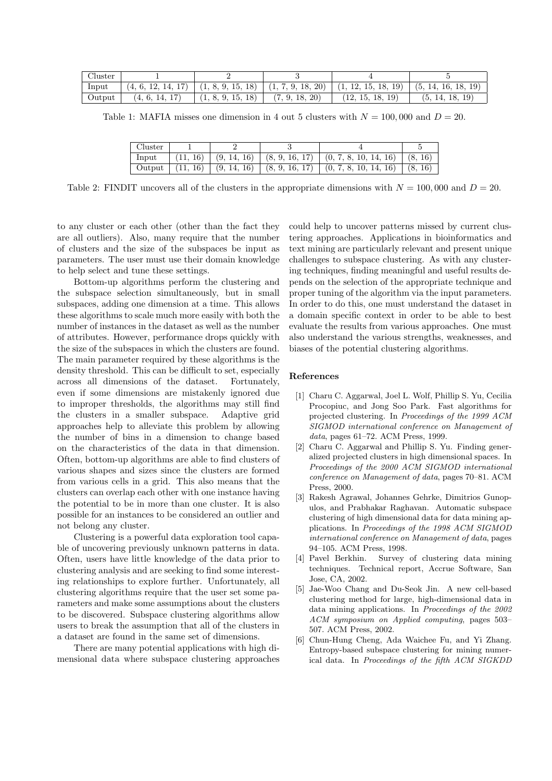| Cluster |                |                                                              |                |                     |                     |
|---------|----------------|--------------------------------------------------------------|----------------|---------------------|---------------------|
| Input   |                | $(4, 6, 12, 14, 17)$ $(1, 8, 9, 15, 18)$ $(1, 7, 9, 18, 20)$ |                | (1, 12, 15, 18, 19) | (5, 14, 16, 18, 19) |
| Output  | (4, 6, 14, 17) | (1, 8, 9, 15, 18)                                            | (7, 9, 18, 20) | (12, 15, 18, 19)    | (5, 14, 18, 19)     |

Table 1: MAFIA misses one dimension in 4 out 5 clusters with  $N = 100,000$  and  $D = 20$ .

| Jluster |     |                |              |                             |    |
|---------|-----|----------------|--------------|-----------------------------|----|
| Input   | 16) | 14, 16)<br>(9, | (8, 9, 16,   | 16)<br>(0, 7, 8, 10, 14,    | 16 |
| Output  | 16) | 14, 16)<br>(9, | (8, 9, 16, ) | (0, 7, 8, 10, 14, 1)<br>16) | 16 |

Table 2: FINDIT uncovers all of the clusters in the appropriate dimensions with  $N = 100,000$  and  $D = 20$ .

to any cluster or each other (other than the fact they are all outliers). Also, many require that the number of clusters and the size of the subspaces be input as parameters. The user must use their domain knowledge to help select and tune these settings.

Bottom-up algorithms perform the clustering and the subspace selection simultaneously, but in small subspaces, adding one dimension at a time. This allows these algorithms to scale much more easily with both the number of instances in the dataset as well as the number of attributes. However, performance drops quickly with the size of the subspaces in which the clusters are found. The main parameter required by these algorithms is the density threshold. This can be difficult to set, especially across all dimensions of the dataset. Fortunately, even if some dimensions are mistakenly ignored due to improper thresholds, the algorithms may still find the clusters in a smaller subspace. Adaptive grid approaches help to alleviate this problem by allowing the number of bins in a dimension to change based on the characteristics of the data in that dimension. Often, bottom-up algorithms are able to find clusters of various shapes and sizes since the clusters are formed from various cells in a grid. This also means that the clusters can overlap each other with one instance having the potential to be in more than one cluster. It is also possible for an instances to be considered an outlier and not belong any cluster.

Clustering is a powerful data exploration tool capable of uncovering previously unknown patterns in data. Often, users have little knowledge of the data prior to clustering analysis and are seeking to find some interesting relationships to explore further. Unfortunately, all clustering algorithms require that the user set some parameters and make some assumptions about the clusters to be discovered. Subspace clustering algorithms allow users to break the assumption that all of the clusters in a dataset are found in the same set of dimensions.

There are many potential applications with high dimensional data where subspace clustering approaches could help to uncover patterns missed by current clustering approaches. Applications in bioinformatics and text mining are particularly relevant and present unique challenges to subspace clustering. As with any clustering techniques, finding meaningful and useful results depends on the selection of the appropriate technique and proper tuning of the algorithm via the input parameters. In order to do this, one must understand the dataset in a domain specific context in order to be able to best evaluate the results from various approaches. One must also understand the various strengths, weaknesses, and biases of the potential clustering algorithms.

## References

- [1] Charu C. Aggarwal, Joel L. Wolf, Phillip S. Yu, Cecilia Procopiuc, and Jong Soo Park. Fast algorithms for projected clustering. In Proceedings of the 1999 ACM SIGMOD international conference on Management of data, pages 61–72. ACM Press, 1999.
- [2] Charu C. Aggarwal and Phillip S. Yu. Finding generalized projected clusters in high dimensional spaces. In Proceedings of the 2000 ACM SIGMOD international conference on Management of data, pages 70–81. ACM Press, 2000.
- [3] Rakesh Agrawal, Johannes Gehrke, Dimitrios Gunopulos, and Prabhakar Raghavan. Automatic subspace clustering of high dimensional data for data mining applications. In Proceedings of the 1998 ACM SIGMOD international conference on Management of data, pages 94–105. ACM Press, 1998.
- [4] Pavel Berkhin. Survey of clustering data mining techniques. Technical report, Accrue Software, San Jose, CA, 2002.
- [5] Jae-Woo Chang and Du-Seok Jin. A new cell-based clustering method for large, high-dimensional data in data mining applications. In Proceedings of the 2002 ACM symposium on Applied computing, pages 503– 507. ACM Press, 2002.
- [6] Chun-Hung Cheng, Ada Waichee Fu, and Yi Zhang. Entropy-based subspace clustering for mining numerical data. In Proceedings of the fifth ACM SIGKDD